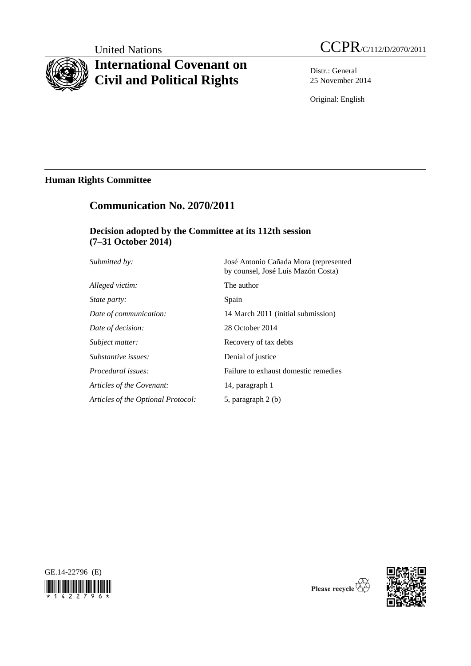# **International Covenant on Civil and Political Rights**

United Nations CCPR/C/112/D/2070/2011

Distr.: General 25 November 2014

Original: English

# **Human Rights Committee**

# **Communication No. 2070/2011**

# **Decision adopted by the Committee at its 112th session (7–31 October 2014)**

| Submitted by:                      | José Antonio Cañada Mora (represented<br>by counsel, José Luis Mazón Costa) |
|------------------------------------|-----------------------------------------------------------------------------|
| Alleged victim:                    | The author                                                                  |
| State party:                       | Spain                                                                       |
| Date of communication:             | 14 March 2011 (initial submission)                                          |
| Date of decision:                  | 28 October 2014                                                             |
| Subject matter:                    | Recovery of tax debts                                                       |
| Substantive issues:                | Denial of justice                                                           |
| Procedural issues:                 | Failure to exhaust domestic remedies                                        |
| Articles of the Covenant:          | 14, paragraph 1                                                             |
| Articles of the Optional Protocol: | 5, paragraph 2 (b)                                                          |





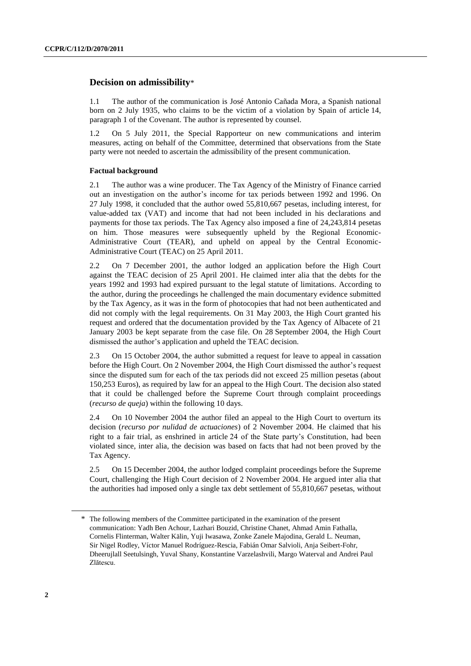## **Decision on admissibility**\*

1.1 The author of the communication is José Antonio Cañada Mora, a Spanish national born on 2 July 1935, who claims to be the victim of a violation by Spain of article 14, paragraph 1 of the Covenant. The author is represented by counsel.

1.2 On 5 July 2011, the Special Rapporteur on new communications and interim measures, acting on behalf of the Committee, determined that observations from the State party were not needed to ascertain the admissibility of the present communication.

### **Factual background**

2.1 The author was a wine producer. The Tax Agency of the Ministry of Finance carried out an investigation on the author's income for tax periods between 1992 and 1996. On 27 July 1998, it concluded that the author owed 55,810,667 pesetas, including interest, for value-added tax (VAT) and income that had not been included in his declarations and payments for those tax periods. The Tax Agency also imposed a fine of 24,243,814 pesetas on him. Those measures were subsequently upheld by the Regional Economic-Administrative Court (TEAR), and upheld on appeal by the Central Economic-Administrative Court (TEAC) on 25 April 2011.

2.2 On 7 December 2001, the author lodged an application before the High Court against the TEAC decision of 25 April 2001. He claimed inter alia that the debts for the years 1992 and 1993 had expired pursuant to the legal statute of limitations. According to the author, during the proceedings he challenged the main documentary evidence submitted by the Tax Agency, as it was in the form of photocopies that had not been authenticated and did not comply with the legal requirements. On 31 May 2003, the High Court granted his request and ordered that the documentation provided by the Tax Agency of Albacete of 21 January 2003 be kept separate from the case file. On 28 September 2004, the High Court dismissed the author's application and upheld the TEAC decision.

2.3 On 15 October 2004, the author submitted a request for leave to appeal in cassation before the High Court. On 2 November 2004, the High Court dismissed the author's request since the disputed sum for each of the tax periods did not exceed 25 million pesetas (about 150,253 Euros), as required by law for an appeal to the High Court. The decision also stated that it could be challenged before the Supreme Court through complaint proceedings (*recurso de queja*) within the following 10 days.

2.4 On 10 November 2004 the author filed an appeal to the High Court to overturn its decision (*recurso por nulidad de actuaciones*) of 2 November 2004. He claimed that his right to a fair trial, as enshrined in article 24 of the State party's Constitution, had been violated since, inter alia, the decision was based on facts that had not been proved by the Tax Agency.

2.5 On 15 December 2004, the author lodged complaint proceedings before the Supreme Court, challenging the High Court decision of 2 November 2004. He argued inter alia that the authorities had imposed only a single tax debt settlement of 55,810,667 pesetas, without

<sup>\*</sup> The following members of the Committee participated in the examination of the present communication: Yadh Ben Achour, Lazhari Bouzid, Christine Chanet, Ahmad Amin Fathalla, Cornelis Flinterman, Walter Kälin, Yuji Iwasawa, Zonke Zanele Majodina, Gerald L. Neuman, Sir Nigel Rodley, Víctor Manuel Rodríguez-Rescia, Fabián Omar Salvioli, Anja Seibert-Fohr, Dheerujlall Seetulsingh, Yuval Shany, Konstantine Varzelashvili, Margo Waterval and Andrei Paul Zlătescu.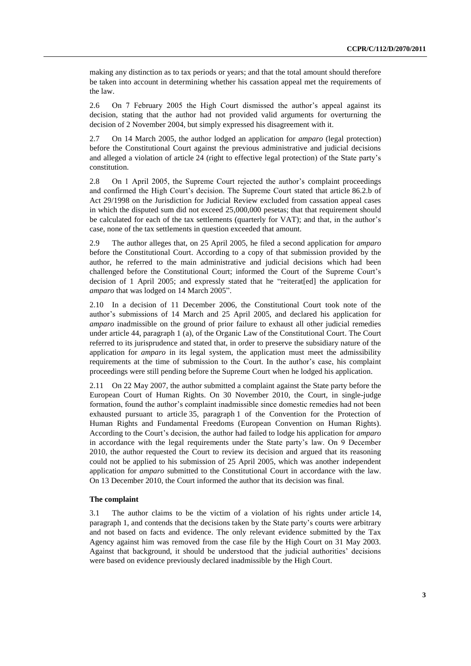making any distinction as to tax periods or years; and that the total amount should therefore be taken into account in determining whether his cassation appeal met the requirements of the law.

2.6 On 7 February 2005 the High Court dismissed the author's appeal against its decision, stating that the author had not provided valid arguments for overturning the decision of 2 November 2004, but simply expressed his disagreement with it.

2.7 On 14 March 2005, the author lodged an application for *amparo* (legal protection) before the Constitutional Court against the previous administrative and judicial decisions and alleged a violation of article 24 (right to effective legal protection) of the State party's constitution.

2.8 On 1 April 2005, the Supreme Court rejected the author's complaint proceedings and confirmed the High Court's decision. The Supreme Court stated that article 86.2.b of Act 29/1998 on the Jurisdiction for Judicial Review excluded from cassation appeal cases in which the disputed sum did not exceed 25,000,000 pesetas; that that requirement should be calculated for each of the tax settlements (quarterly for VAT); and that, in the author's case, none of the tax settlements in question exceeded that amount.

2.9 The author alleges that, on 25 April 2005, he filed a second application for *amparo* before the Constitutional Court. According to a copy of that submission provided by the author, he referred to the main administrative and judicial decisions which had been challenged before the Constitutional Court; informed the Court of the Supreme Court's decision of 1 April 2005; and expressly stated that he "reiterat[ed] the application for *amparo* that was lodged on 14 March 2005".

2.10 In a decision of 11 December 2006, the Constitutional Court took note of the author's submissions of 14 March and 25 April 2005, and declared his application for *amparo* inadmissible on the ground of prior failure to exhaust all other judicial remedies under article 44, paragraph 1 (a), of the Organic Law of the Constitutional Court. The Court referred to its jurisprudence and stated that, in order to preserve the subsidiary nature of the application for *amparo* in its legal system, the application must meet the admissibility requirements at the time of submission to the Court. In the author's case, his complaint proceedings were still pending before the Supreme Court when he lodged his application.

2.11 On 22 May 2007, the author submitted a complaint against the State party before the European Court of Human Rights. On 30 November 2010, the Court, in single-judge formation, found the author's complaint inadmissible since domestic remedies had not been exhausted pursuant to article 35, paragraph 1 of the Convention for the Protection of Human Rights and Fundamental Freedoms (European Convention on Human Rights). According to the Court's decision, the author had failed to lodge his application for *amparo* in accordance with the legal requirements under the State party's law. On 9 December 2010, the author requested the Court to review its decision and argued that its reasoning could not be applied to his submission of 25 April 2005, which was another independent application for *amparo* submitted to the Constitutional Court in accordance with the law. On 13 December 2010, the Court informed the author that its decision was final.

#### **The complaint**

3.1 The author claims to be the victim of a violation of his rights under article 14, paragraph 1, and contends that the decisions taken by the State party's courts were arbitrary and not based on facts and evidence. The only relevant evidence submitted by the Tax Agency against him was removed from the case file by the High Court on 31 May 2003. Against that background, it should be understood that the judicial authorities' decisions were based on evidence previously declared inadmissible by the High Court.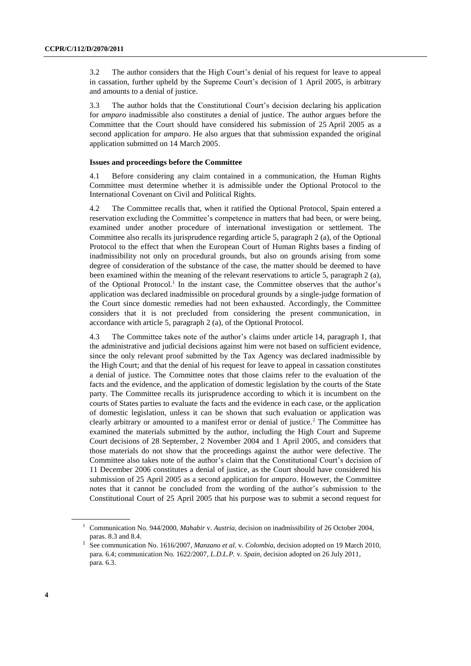3.2 The author considers that the High Court's denial of his request for leave to appeal in cassation, further upheld by the Supreme Court's decision of 1 April 2005, is arbitrary and amounts to a denial of justice.

3.3 The author holds that the Constitutional Court's decision declaring his application for *amparo* inadmissible also constitutes a denial of justice. The author argues before the Committee that the Court should have considered his submission of 25 April 2005 as a second application for *amparo*. He also argues that that submission expanded the original application submitted on 14 March 2005.

#### **Issues and proceedings before the Committee**

4.1 Before considering any claim contained in a communication, the Human Rights Committee must determine whether it is admissible under the Optional Protocol to the International Covenant on Civil and Political Rights.

4.2 The Committee recalls that, when it ratified the Optional Protocol, Spain entered a reservation excluding the Committee's competence in matters that had been, or were being, examined under another procedure of international investigation or settlement. The Committee also recalls its jurisprudence regarding article 5, paragraph 2 (a), of the Optional Protocol to the effect that when the European Court of Human Rights bases a finding of inadmissibility not only on procedural grounds, but also on grounds arising from some degree of consideration of the substance of the case, the matter should be deemed to have been examined within the meaning of the relevant reservations to article 5, paragraph 2 (a), of the Optional Protocol.<sup>1</sup> In the instant case, the Committee observes that the author's application was declared inadmissible on procedural grounds by a single-judge formation of the Court since domestic remedies had not been exhausted. Accordingly, the Committee considers that it is not precluded from considering the present communication, in accordance with article 5, paragraph 2 (a), of the Optional Protocol.

4.3 The Committee takes note of the author's claims under article 14, paragraph 1, that the administrative and judicial decisions against him were not based on sufficient evidence, since the only relevant proof submitted by the Tax Agency was declared inadmissible by the High Court; and that the denial of his request for leave to appeal in cassation constitutes a denial of justice. The Committee notes that those claims refer to the evaluation of the facts and the evidence, and the application of domestic legislation by the courts of the State party. The Committee recalls its jurisprudence according to which it is incumbent on the courts of States parties to evaluate the facts and the evidence in each case, or the application of domestic legislation, unless it can be shown that such evaluation or application was clearly arbitrary or amounted to a manifest error or denial of justice.<sup>2</sup> The Committee has examined the materials submitted by the author, including the High Court and Supreme Court decisions of 28 September, 2 November 2004 and 1 April 2005, and considers that those materials do not show that the proceedings against the author were defective. The Committee also takes note of the author's claim that the Constitutional Court's decision of 11 December 2006 constitutes a denial of justice, as the Court should have considered his submission of 25 April 2005 as a second application for *amparo*. However, the Committee notes that it cannot be concluded from the wording of the author's submission to the Constitutional Court of 25 April 2005 that his purpose was to submit a second request for

<sup>&</sup>lt;sup>1</sup> Communication No. 944/2000, *Mahabir v. Austria*, decision on inadmissibility of 26 October 2004, paras. 8.3 and 8.4.

<sup>2</sup> See communication No. 1616/2007, *Manzano et al.* v. *Colombia*, decision adopted on 19 March 2010, para. 6.4; communication No. 1622/2007, *L.D.L.P.* v. *Spain*, decision adopted on 26 July 2011, para. 6.3.